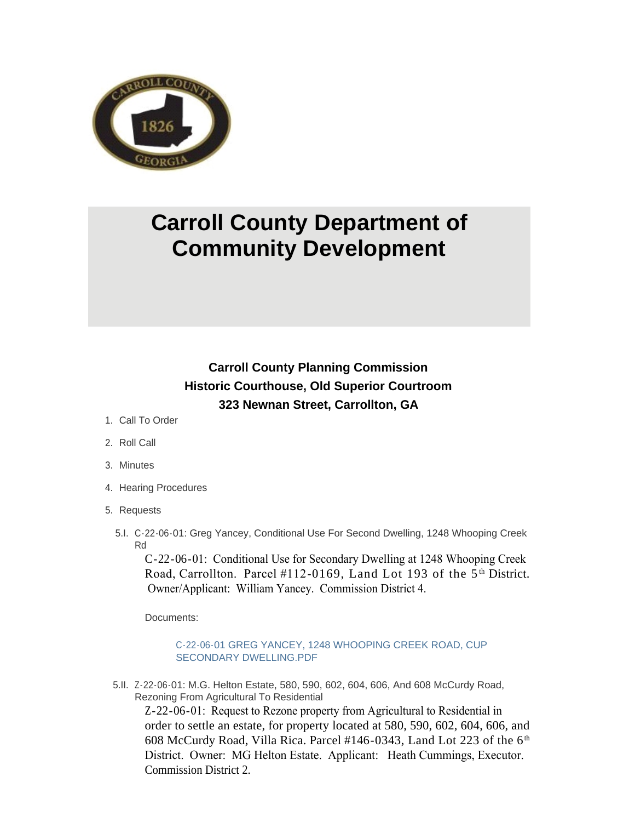

# **Carroll County Department of Community Development**

# **Carroll County Planning Commission Historic Courthouse, Old Superior Courtroom 323 Newnan Street, Carrollton, GA**

- 1. Call To Order
- 2. Roll Call
- Minutes 3.
- 4. Hearing Procedures
- 5. Requests
	- C-22-06-01: Greg Yancey, Conditional Use For Second Dwelling, 1248 Whooping Creek 5.I. Rd

C-22-06-01: Conditional Use for Secondary Dwelling at 1248 Whooping Creek Road, Carrollton. Parcel  $#112-0169$ , Land Lot 193 of the  $5<sup>th</sup>$  District. Owner/Applicant: William Yancey. Commission District 4.

Documents:

# [C-22-06-01 GREG YANCEY, 1248 WHOOPING CREEK ROAD, CUP](http://www.carrollcountyga.com/AgendaCenter/ViewFile/Item/3607?fileID=9201)  SECONDARY DWELLING.PDF

5.II. Z-22-06-01: M.G. Helton Estate, 580, 590, 602, 604, 606, And 608 McCurdy Road, Rezoning From Agricultural To Residential

Z-22-06-01: Request to Rezone property from Agricultural to Residential in order to settle an estate, for property located at 580, 590, 602, 604, 606, and 608 McCurdy Road, Villa Rica. Parcel #146-0343, Land Lot 223 of the  $6<sup>th</sup>$ District. Owner: MG Helton Estate. Applicant: Heath Cummings, Executor. Commission District 2.